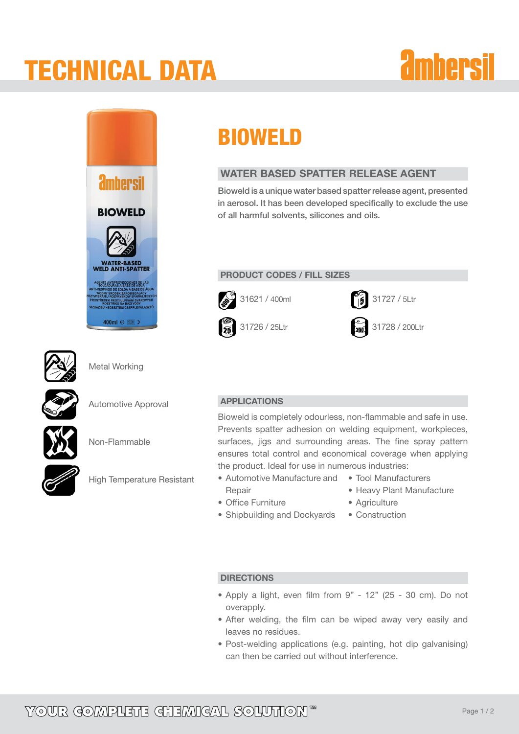# tECHNICAL dATA

**ambersil** 

**BIOWELD** 

WATER-BASED<br>WELD ANTI-SPATTER

400ml e 520 }



## BIOWELD

### WATER BASED SPATTER RELEASE AGENT

Bioweld is a unique water based spatter release agent, presented in aerosol. It has been developed specifically to exclude the use of all harmful solvents, silicones and oils.

PRODUCT CODES / FILL SIZES









Metal Working



Automotive Approval



Non-Flammable



High Temperature Resistant

#### APPLICATIONS

Bioweld is completely odourless, non-flammable and safe in use. Prevents spatter adhesion on welding equipment, workpieces, surfaces, jigs and surrounding areas. The fine spray pattern ensures total control and economical coverage when applying the product. Ideal for use in numerous industries:

- • Automotive Manufacture and Repair • Tool Manufacturers
- Office Furniture
- • Heavy Plant Manufacture • Agriculture
- Shipbuilding and Dockyards
	- Construction

- **DIRECTIONS**
- • Apply a light, even film from 9" 12" (25 30 cm). Do not overapply.
- After welding, the film can be wiped away very easily and leaves no residues.
- Post-welding applications (e.g. painting, hot dip galvanising) can then be carried out without interference.